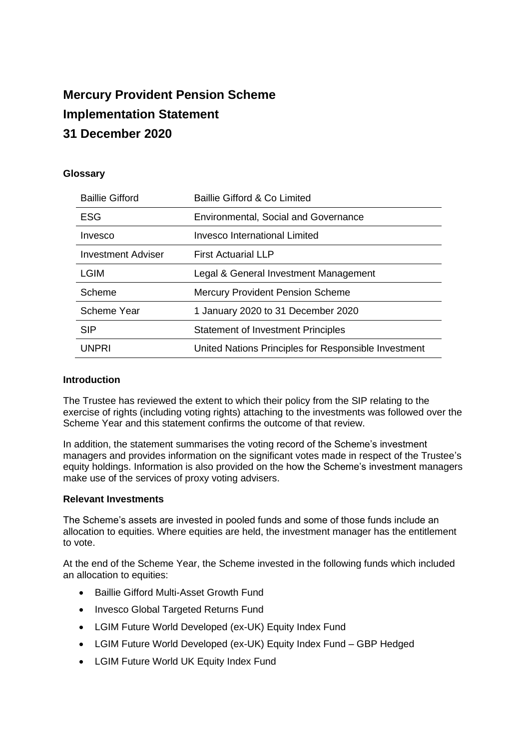# **Mercury Provident Pension Scheme Implementation Statement 31 December 2020**

## **Glossary**

| <b>Baillie Gifford</b> | Baillie Gifford & Co Limited                         |
|------------------------|------------------------------------------------------|
| <b>ESG</b>             | <b>Environmental, Social and Governance</b>          |
| Invesco                | Invesco International Limited                        |
| Investment Adviser     | <b>First Actuarial LLP</b>                           |
| LGIM                   | Legal & General Investment Management                |
| Scheme                 | <b>Mercury Provident Pension Scheme</b>              |
| Scheme Year            | 1 January 2020 to 31 December 2020                   |
| <b>SIP</b>             | <b>Statement of Investment Principles</b>            |
| <b>UNPRI</b>           | United Nations Principles for Responsible Investment |

### **Introduction**

The Trustee has reviewed the extent to which their policy from the SIP relating to the exercise of rights (including voting rights) attaching to the investments was followed over the Scheme Year and this statement confirms the outcome of that review.

In addition, the statement summarises the voting record of the Scheme's investment managers and provides information on the significant votes made in respect of the Trustee's equity holdings. Information is also provided on the how the Scheme's investment managers make use of the services of proxy voting advisers.

#### **Relevant Investments**

The Scheme's assets are invested in pooled funds and some of those funds include an allocation to equities. Where equities are held, the investment manager has the entitlement to vote.

At the end of the Scheme Year, the Scheme invested in the following funds which included an allocation to equities:

- Baillie Gifford Multi-Asset Growth Fund
- Invesco Global Targeted Returns Fund
- LGIM Future World Developed (ex-UK) Equity Index Fund
- LGIM Future World Developed (ex-UK) Equity Index Fund GBP Hedged
- LGIM Future World UK Equity Index Fund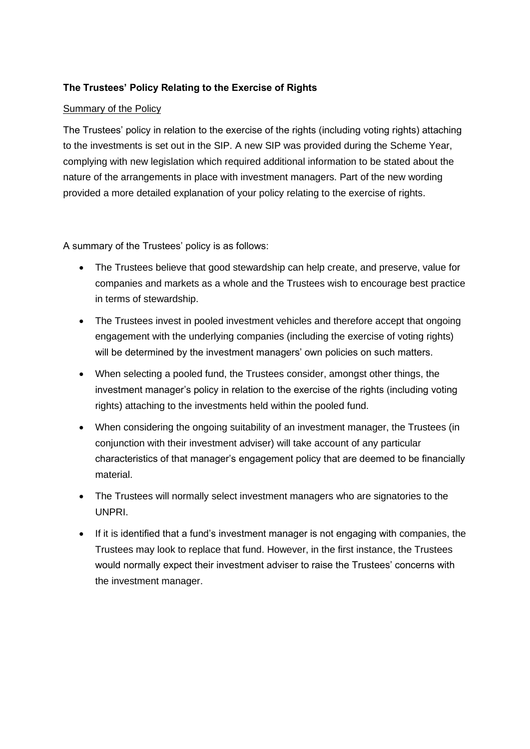## **The Trustees' Policy Relating to the Exercise of Rights**

## Summary of the Policy

The Trustees' policy in relation to the exercise of the rights (including voting rights) attaching to the investments is set out in the SIP. A new SIP was provided during the Scheme Year, complying with new legislation which required additional information to be stated about the nature of the arrangements in place with investment managers. Part of the new wording provided a more detailed explanation of your policy relating to the exercise of rights.

A summary of the Trustees' policy is as follows:

- The Trustees believe that good stewardship can help create, and preserve, value for companies and markets as a whole and the Trustees wish to encourage best practice in terms of stewardship.
- The Trustees invest in pooled investment vehicles and therefore accept that ongoing engagement with the underlying companies (including the exercise of voting rights) will be determined by the investment managers' own policies on such matters.
- When selecting a pooled fund, the Trustees consider, amongst other things, the investment manager's policy in relation to the exercise of the rights (including voting rights) attaching to the investments held within the pooled fund.
- When considering the ongoing suitability of an investment manager, the Trustees (in conjunction with their investment adviser) will take account of any particular characteristics of that manager's engagement policy that are deemed to be financially material.
- The Trustees will normally select investment managers who are signatories to the UNPRI.
- If it is identified that a fund's investment manager is not engaging with companies, the Trustees may look to replace that fund. However, in the first instance, the Trustees would normally expect their investment adviser to raise the Trustees' concerns with the investment manager.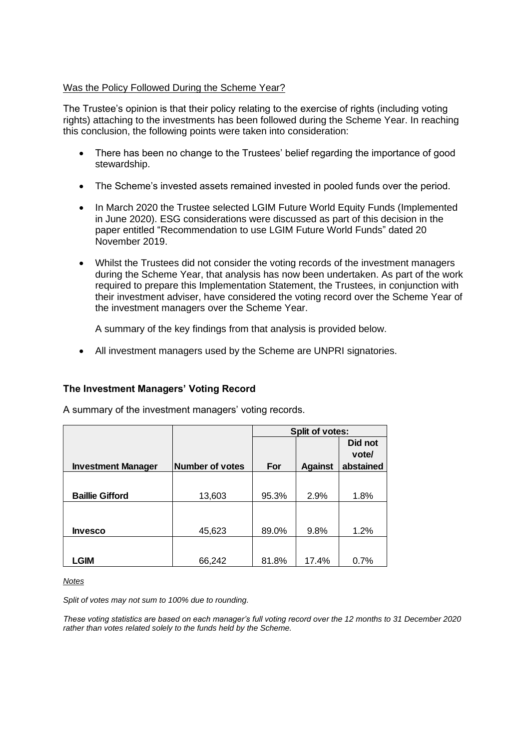### Was the Policy Followed During the Scheme Year?

The Trustee's opinion is that their policy relating to the exercise of rights (including voting rights) attaching to the investments has been followed during the Scheme Year. In reaching this conclusion, the following points were taken into consideration:

- There has been no change to the Trustees' belief regarding the importance of good stewardship.
- The Scheme's invested assets remained invested in pooled funds over the period.
- In March 2020 the Trustee selected LGIM Future World Equity Funds (Implemented in June 2020). ESG considerations were discussed as part of this decision in the paper entitled "Recommendation to use LGIM Future World Funds" dated 20 November 2019.
- Whilst the Trustees did not consider the voting records of the investment managers during the Scheme Year, that analysis has now been undertaken. As part of the work required to prepare this Implementation Statement, the Trustees, in conjunction with their investment adviser, have considered the voting record over the Scheme Year of the investment managers over the Scheme Year.

A summary of the key findings from that analysis is provided below.

• All investment managers used by the Scheme are UNPRI signatories.

### **The Investment Managers' Voting Record**

A summary of the investment managers' voting records.

|                           |                 | Split of votes: |                |           |
|---------------------------|-----------------|-----------------|----------------|-----------|
|                           |                 |                 |                | Did not   |
|                           |                 |                 |                | vote/     |
| <b>Investment Manager</b> | Number of votes | For             | <b>Against</b> | abstained |
|                           |                 |                 |                |           |
| <b>Baillie Gifford</b>    | 13,603          | 95.3%           | 2.9%           | 1.8%      |
|                           |                 |                 |                |           |
|                           |                 |                 |                |           |
| <b>Invesco</b>            | 45,623          | 89.0%           | 9.8%           | 1.2%      |
|                           |                 |                 |                |           |
| LGIM                      | 66,242          | 81.8%           | 17.4%          | 0.7%      |

*Notes*

*Split of votes may not sum to 100% due to rounding.*

*These voting statistics are based on each manager's full voting record over the 12 months to 31 December 2020 rather than votes related solely to the funds held by the Scheme.*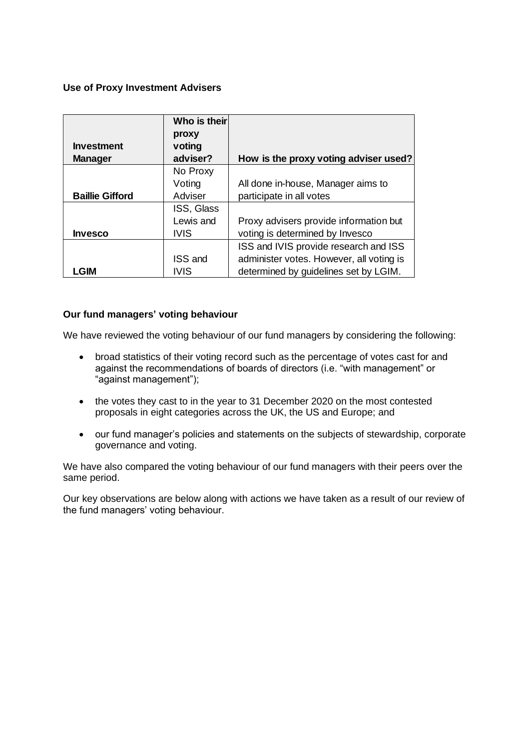### **Use of Proxy Investment Advisers**

|                        | Who is their   |                                          |
|------------------------|----------------|------------------------------------------|
|                        | proxy          |                                          |
| <b>Investment</b>      | voting         |                                          |
| <b>Manager</b>         | adviser?       | How is the proxy voting adviser used?    |
|                        | No Proxy       |                                          |
|                        | Voting         | All done in-house, Manager aims to       |
| <b>Baillie Gifford</b> | Adviser        | participate in all votes                 |
|                        | ISS, Glass     |                                          |
|                        | Lewis and      | Proxy advisers provide information but   |
| <b>Invesco</b>         | <b>IVIS</b>    | voting is determined by Invesco          |
|                        |                | ISS and IVIS provide research and ISS    |
|                        | <b>ISS and</b> | administer votes. However, all voting is |
| _GIM                   | IVIS           | determined by guidelines set by LGIM.    |

### **Our fund managers' voting behaviour**

We have reviewed the voting behaviour of our fund managers by considering the following:

- broad statistics of their voting record such as the percentage of votes cast for and against the recommendations of boards of directors (i.e. "with management" or "against management");
- the votes they cast to in the year to 31 December 2020 on the most contested proposals in eight categories across the UK, the US and Europe; and
- our fund manager's policies and statements on the subjects of stewardship, corporate governance and voting.

We have also compared the voting behaviour of our fund managers with their peers over the same period.

Our key observations are below along with actions we have taken as a result of our review of the fund managers' voting behaviour.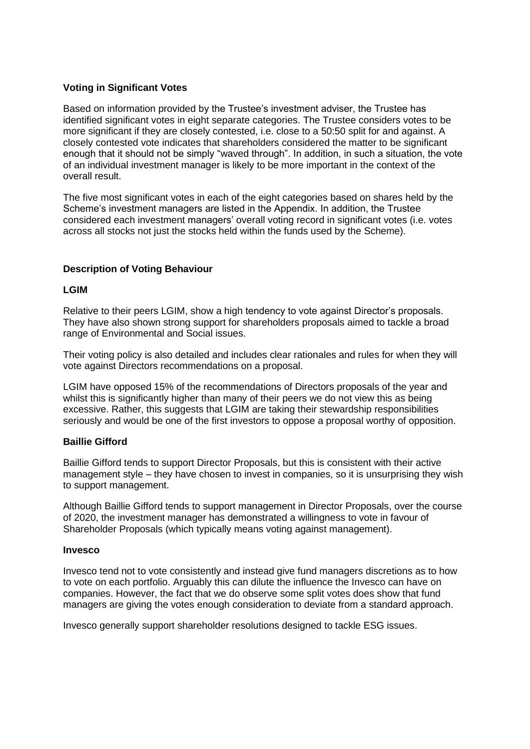## **Voting in Significant Votes**

Based on information provided by the Trustee's investment adviser, the Trustee has identified significant votes in eight separate categories. The Trustee considers votes to be more significant if they are closely contested, i.e. close to a 50:50 split for and against. A closely contested vote indicates that shareholders considered the matter to be significant enough that it should not be simply "waved through". In addition, in such a situation, the vote of an individual investment manager is likely to be more important in the context of the overall result.

The five most significant votes in each of the eight categories based on shares held by the Scheme's investment managers are listed in the Appendix. In addition, the Trustee considered each investment managers' overall voting record in significant votes (i.e. votes across all stocks not just the stocks held within the funds used by the Scheme).

## **Description of Voting Behaviour**

#### **LGIM**

Relative to their peers LGIM, show a high tendency to vote against Director's proposals. They have also shown strong support for shareholders proposals aimed to tackle a broad range of Environmental and Social issues.

Their voting policy is also detailed and includes clear rationales and rules for when they will vote against Directors recommendations on a proposal.

LGIM have opposed 15% of the recommendations of Directors proposals of the year and whilst this is significantly higher than many of their peers we do not view this as being excessive. Rather, this suggests that LGIM are taking their stewardship responsibilities seriously and would be one of the first investors to oppose a proposal worthy of opposition.

#### **Baillie Gifford**

Baillie Gifford tends to support Director Proposals, but this is consistent with their active management style – they have chosen to invest in companies, so it is unsurprising they wish to support management.

Although Baillie Gifford tends to support management in Director Proposals, over the course of 2020, the investment manager has demonstrated a willingness to vote in favour of Shareholder Proposals (which typically means voting against management).

#### **Invesco**

Invesco tend not to vote consistently and instead give fund managers discretions as to how to vote on each portfolio. Arguably this can dilute the influence the Invesco can have on companies. However, the fact that we do observe some split votes does show that fund managers are giving the votes enough consideration to deviate from a standard approach.

Invesco generally support shareholder resolutions designed to tackle ESG issues.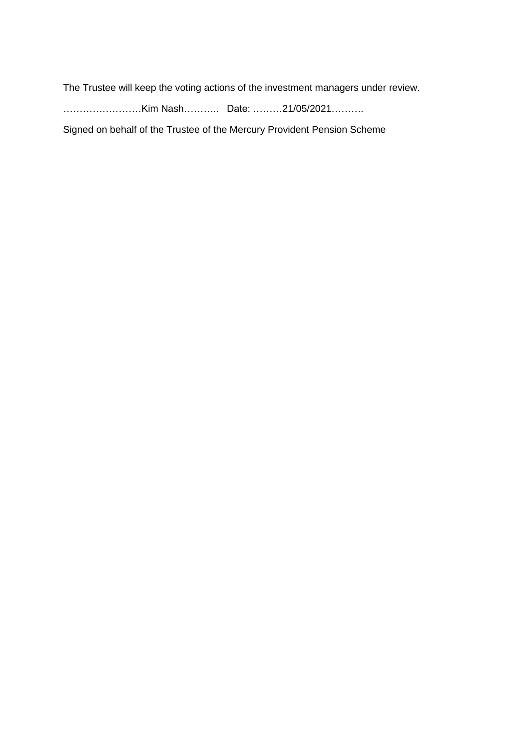The Trustee will keep the voting actions of the investment managers under review.

……………………Kim Nash……….. Date: ………21/05/2021……….

Signed on behalf of the Trustee of the Mercury Provident Pension Scheme